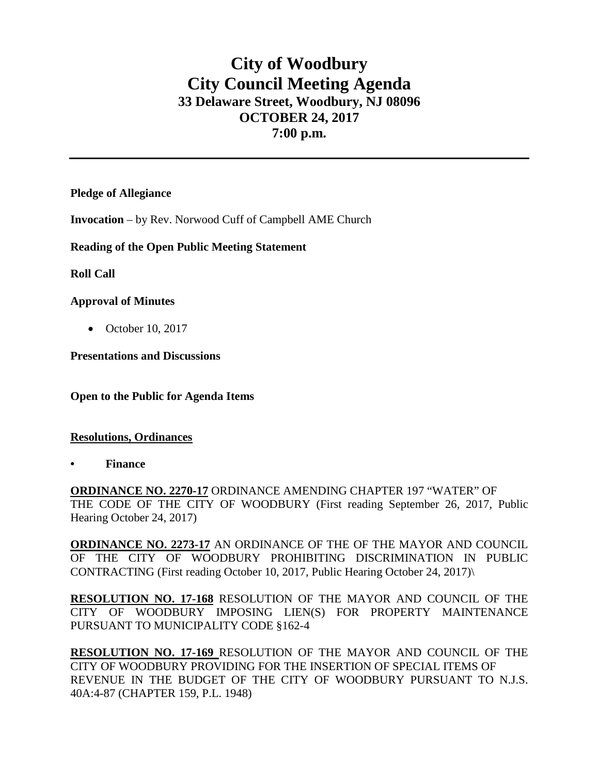# **City of Woodbury City Council Meeting Agenda 33 Delaware Street, Woodbury, NJ 08096 OCTOBER 24, 2017 7:00 p.m.**

## **Pledge of Allegiance**

**Invocation** – by Rev. Norwood Cuff of Campbell AME Church

## **Reading of the Open Public Meeting Statement**

## **Roll Call**

## **Approval of Minutes**

• October 10, 2017

**Presentations and Discussions**

**Open to the Public for Agenda Items**

#### **Resolutions, Ordinances**

**• Finance** 

**ORDINANCE NO. 2270-17** ORDINANCE AMENDING CHAPTER 197 "WATER" OF THE CODE OF THE CITY OF WOODBURY (First reading September 26, 2017, Public Hearing October 24, 2017)

**ORDINANCE NO. 2273-17** AN ORDINANCE OF THE OF THE MAYOR AND COUNCIL OF THE CITY OF WOODBURY PROHIBITING DISCRIMINATION IN PUBLIC CONTRACTING (First reading October 10, 2017, Public Hearing October 24, 2017)\

**RESOLUTION NO. 17-168** RESOLUTION OF THE MAYOR AND COUNCIL OF THE CITY OF WOODBURY IMPOSING LIEN(S) FOR PROPERTY MAINTENANCE PURSUANT TO MUNICIPALITY CODE §162-4

**RESOLUTION NO. 17-169** RESOLUTION OF THE MAYOR AND COUNCIL OF THE CITY OF WOODBURY PROVIDING FOR THE INSERTION OF SPECIAL ITEMS OF REVENUE IN THE BUDGET OF THE CITY OF WOODBURY PURSUANT TO N.J.S. 40A:4-87 (CHAPTER 159, P.L. 1948)